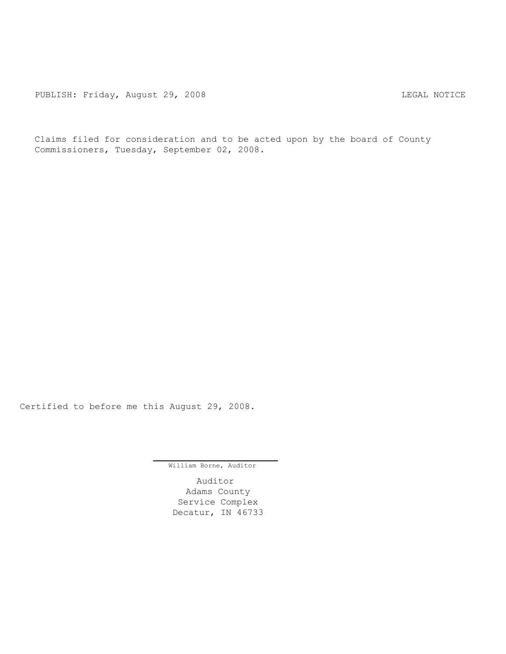Claims filed for consideration and to be acted upon by the board of County Commissioners, Tuesday, September 02, 2008.

Certified to before me this August 29, 2008.

William Borne, Auditor

Auditor Adams County Service Complex Decatur, IN 46733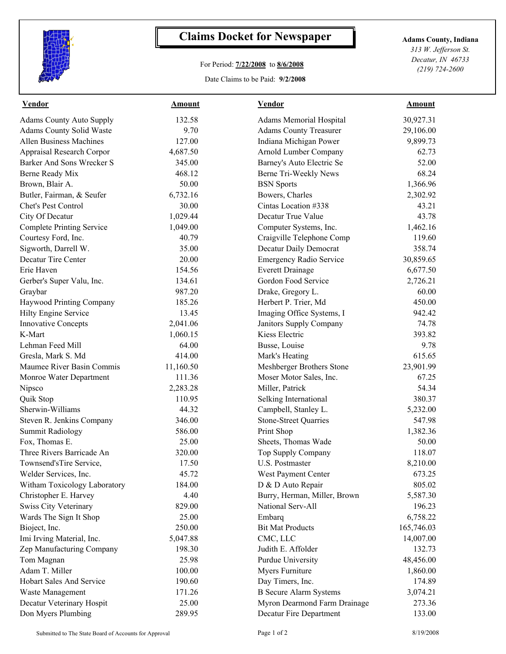

## **Claims Docket for Newspaper Adams County, Indiana**

## For Period: **7/22/2008** to **8/6/2008**

Date Claims to be Paid: **9/2/2008**

*313 W. Jefferson St. Decatur, IN 46733 (219) 724-2600*

| <b>Vendor</b>                    | <b>Amount</b> | <b>Vendor</b>                  | Amount     |  |
|----------------------------------|---------------|--------------------------------|------------|--|
| <b>Adams County Auto Supply</b>  | 132.58        | <b>Adams Memorial Hospital</b> | 30,927.31  |  |
| Adams County Solid Waste         | 9.70          | <b>Adams County Treasurer</b>  | 29,106.00  |  |
| <b>Allen Business Machines</b>   | 127.00        | Indiana Michigan Power         | 9,899.73   |  |
| Appraisal Research Corpor        | 4,687.50      | Arnold Lumber Company          | 62.73      |  |
| Barker And Sons Wrecker S        | 345.00        | Barney's Auto Electric Se      | 52.00      |  |
| Berne Ready Mix                  | 468.12        | Berne Tri-Weekly News          | 68.24      |  |
| Brown, Blair A.                  | 50.00         | <b>BSN</b> Sports              | 1,366.96   |  |
| Butler, Fairman, & Seufer        | 6,732.16      | Bowers, Charles                | 2,302.92   |  |
| Chet's Pest Control              | 30.00         | Cintas Location #338           | 43.21      |  |
| City Of Decatur                  | 1,029.44      | Decatur True Value             | 43.78      |  |
| <b>Complete Printing Service</b> | 1,049.00      | Computer Systems, Inc.         | 1,462.16   |  |
| Courtesy Ford, Inc.              | 40.79         | Craigville Telephone Comp      | 119.60     |  |
| Sigworth, Darrell W.             | 35.00         | Decatur Daily Democrat         | 358.74     |  |
| Decatur Tire Center              | 20.00         | <b>Emergency Radio Service</b> | 30,859.65  |  |
| Erie Haven                       | 154.56        | <b>Everett Drainage</b>        | 6,677.50   |  |
| Gerber's Super Valu, Inc.        | 134.61        | Gordon Food Service            | 2,726.21   |  |
| Graybar                          | 987.20        | Drake, Gregory L.              | 60.00      |  |
| Haywood Printing Company         | 185.26        | Herbert P. Trier, Md           | 450.00     |  |
| Hilty Engine Service             | 13.45         | Imaging Office Systems, I      | 942.42     |  |
| <b>Innovative Concepts</b>       | 2,041.06      | Janitors Supply Company        | 74.78      |  |
| K-Mart                           | 1,060.15      | Kiess Electric                 | 393.82     |  |
| Lehman Feed Mill                 | 64.00         | Busse, Louise                  | 9.78       |  |
| Gresla, Mark S. Md               | 414.00        | Mark's Heating                 | 615.65     |  |
| Maumee River Basin Commis        | 11,160.50     | Meshberger Brothers Stone      | 23,901.99  |  |
| Monroe Water Department          | 111.36        | Moser Motor Sales, Inc.        | 67.25      |  |
| Nipsco                           | 2,283.28      | Miller, Patrick                | 54.34      |  |
| Quik Stop                        | 110.95        | Selking International          | 380.37     |  |
| Sherwin-Williams                 | 44.32         | Campbell, Stanley L.           | 5,232.00   |  |
| Steven R. Jenkins Company        | 346.00        | <b>Stone-Street Quarries</b>   | 547.98     |  |
| <b>Summit Radiology</b>          | 586.00        | Print Shop                     | 1,382.36   |  |
| Fox, Thomas E.                   | 25.00         | Sheets, Thomas Wade            | 50.00      |  |
| Three Rivers Barricade An        | 320.00        | Top Supply Company             | 118.07     |  |
| Townsend'sTire Service,          | 17.50         | U.S. Postmaster                | 8,210.00   |  |
| Welder Services, Inc.            | 45.72         | West Payment Center            | 673.25     |  |
| Witham Toxicology Laboratory     | 184.00        | D & D Auto Repair              | 805.02     |  |
| Christopher E. Harvey            | 4.40          | Burry, Herman, Miller, Brown   | 5,587.30   |  |
| <b>Swiss City Veterinary</b>     | 829.00        | National Serv-All              | 196.23     |  |
| Wards The Sign It Shop           | 25.00         | Embarq                         | 6,758.22   |  |
| Bioject, Inc.                    | 250.00        | <b>Bit Mat Products</b>        | 165,746.03 |  |
| Imi Irving Material, Inc.        | 5,047.88      | CMC, LLC                       | 14,007.00  |  |
| Zep Manufacturing Company        | 198.30        | Judith E. Affolder             | 132.73     |  |
| Tom Magnan                       | 25.98         | <b>Purdue University</b>       | 48,456.00  |  |
| Adam T. Miller                   | 100.00        | Myers Furniture                | 1,860.00   |  |
| Hobart Sales And Service         | 190.60        | Day Timers, Inc.               | 174.89     |  |
| Waste Management                 | 171.26        | <b>B</b> Secure Alarm Systems  | 3,074.21   |  |
| Decatur Veterinary Hospit        | 25.00         | Myron Dearmond Farm Drainage   | 273.36     |  |
| Don Myers Plumbing               | 289.95        | Decatur Fire Department        | 133.00     |  |